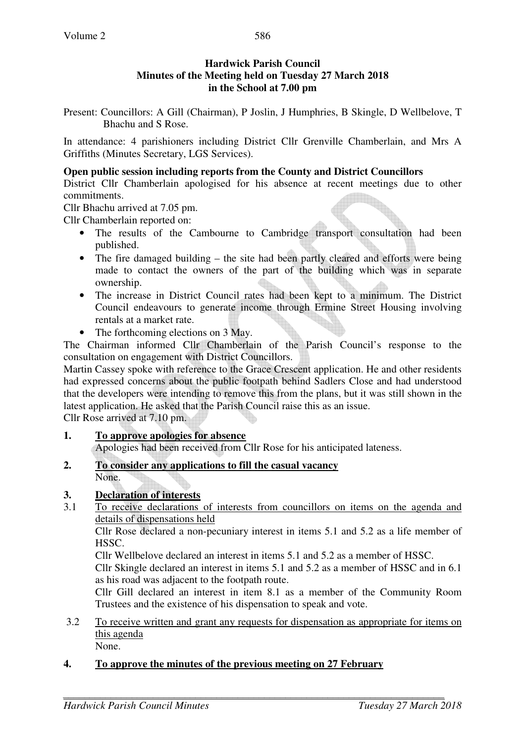### **Hardwick Parish Council Minutes of the Meeting held on Tuesday 27 March 2018 in the School at 7.00 pm**

Present: Councillors: A Gill (Chairman), P Joslin, J Humphries, B Skingle, D Wellbelove, T Bhachu and S Rose.

In attendance: 4 parishioners including District Cllr Grenville Chamberlain, and Mrs A Griffiths (Minutes Secretary, LGS Services).

#### **Open public session including reports from the County and District Councillors**

District Cllr Chamberlain apologised for his absence at recent meetings due to other commitments.

Cllr Bhachu arrived at 7.05 pm.

Cllr Chamberlain reported on:

- The results of the Cambourne to Cambridge transport consultation had been published.
- The fire damaged building the site had been partly cleared and efforts were being made to contact the owners of the part of the building which was in separate ownership.
- The increase in District Council rates had been kept to a minimum. The District Council endeavours to generate income through Ermine Street Housing involving rentals at a market rate.
- The forthcoming elections on 3 May.

The Chairman informed Cllr Chamberlain of the Parish Council's response to the consultation on engagement with District Councillors.

Martin Cassey spoke with reference to the Grace Crescent application. He and other residents had expressed concerns about the public footpath behind Sadlers Close and had understood that the developers were intending to remove this from the plans, but it was still shown in the latest application. He asked that the Parish Council raise this as an issue.

Cllr Rose arrived at 7.10 pm.

- **1. To approve apologies for absence** Apologies had been received from Cllr Rose for his anticipated lateness.
- **2. To consider any applications to fill the casual vacancy** None.

# **3. Declaration of interests**

3.1 To receive declarations of interests from councillors on items on the agenda and details of dispensations held

Cllr Rose declared a non-pecuniary interest in items 5.1 and 5.2 as a life member of **HSSC.** 

Cllr Wellbelove declared an interest in items 5.1 and 5.2 as a member of HSSC.

Cllr Skingle declared an interest in items 5.1 and 5.2 as a member of HSSC and in 6.1 as his road was adjacent to the footpath route.

Cllr Gill declared an interest in item 8.1 as a member of the Community Room Trustees and the existence of his dispensation to speak and vote.

3.2 To receive written and grant any requests for dispensation as appropriate for items on this agenda None.

**4. To approve the minutes of the previous meeting on 27 February**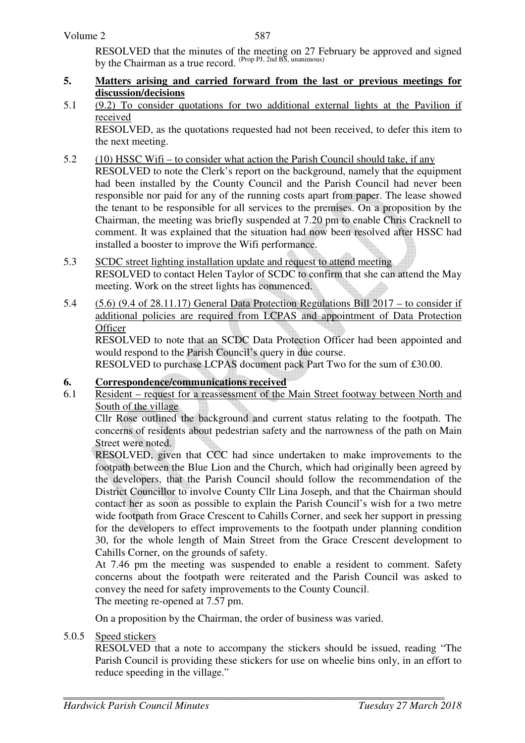RESOLVED that the minutes of the meeting on 27 February be approved and signed by the Chairman as a true record. (Prop PJ, 2nd BS, unanimous)

- **5. Matters arising and carried forward from the last or previous meetings for discussion/decisions**
- 5.1 (9.2) To consider quotations for two additional external lights at the Pavilion if received

RESOLVED, as the quotations requested had not been received, to defer this item to the next meeting.

- 5.2 (10) HSSC Wifi to consider what action the Parish Council should take, if any
	- RESOLVED to note the Clerk's report on the background, namely that the equipment had been installed by the County Council and the Parish Council had never been responsible nor paid for any of the running costs apart from paper. The lease showed the tenant to be responsible for all services to the premises. On a proposition by the Chairman, the meeting was briefly suspended at 7.20 pm to enable Chris Cracknell to comment. It was explained that the situation had now been resolved after HSSC had installed a booster to improve the Wifi performance.
- 5.3 SCDC street lighting installation update and request to attend meeting RESOLVED to contact Helen Taylor of SCDC to confirm that she can attend the May meeting. Work on the street lights has commenced.
- 5.4 (5.6) (9.4 of 28.11.17) General Data Protection Regulations Bill 2017 to consider if additional policies are required from LCPAS and appointment of Data Protection **Officer**

 RESOLVED to note that an SCDC Data Protection Officer had been appointed and would respond to the Parish Council's query in due course.

RESOLVED to purchase LCPAS document pack Part Two for the sum of £30.00.

# **6. Correspondence/communications received**

6.1 Resident – request for a reassessment of the Main Street footway between North and South of the village

Cllr Rose outlined the background and current status relating to the footpath. The concerns of residents about pedestrian safety and the narrowness of the path on Main Street were noted.

RESOLVED, given that CCC had since undertaken to make improvements to the footpath between the Blue Lion and the Church, which had originally been agreed by the developers, that the Parish Council should follow the recommendation of the District Councillor to involve County Cllr Lina Joseph, and that the Chairman should contact her as soon as possible to explain the Parish Council's wish for a two metre wide footpath from Grace Crescent to Cahills Corner, and seek her support in pressing for the developers to effect improvements to the footpath under planning condition 30, for the whole length of Main Street from the Grace Crescent development to Cahills Corner, on the grounds of safety.

At 7.46 pm the meeting was suspended to enable a resident to comment. Safety concerns about the footpath were reiterated and the Parish Council was asked to convey the need for safety improvements to the County Council.

The meeting re-opened at 7.57 pm.

On a proposition by the Chairman, the order of business was varied.

5.0.5 Speed stickers

RESOLVED that a note to accompany the stickers should be issued, reading "The Parish Council is providing these stickers for use on wheelie bins only, in an effort to reduce speeding in the village."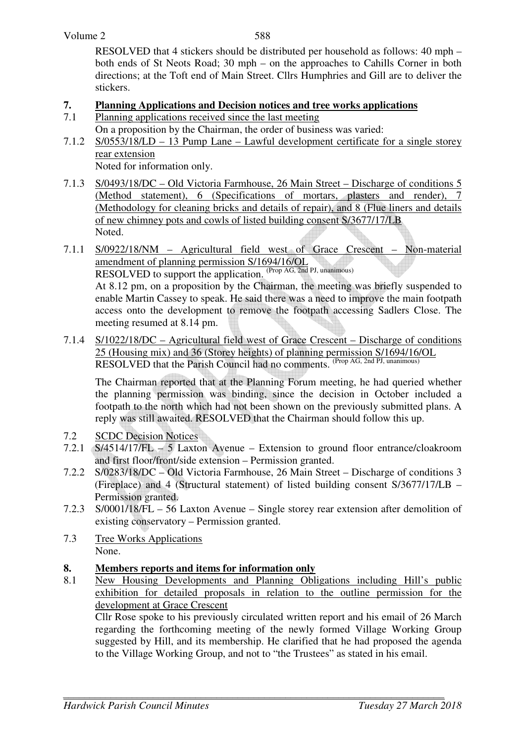588

RESOLVED that 4 stickers should be distributed per household as follows: 40 mph – both ends of St Neots Road; 30 mph – on the approaches to Cahills Corner in both directions; at the Toft end of Main Street. Cllrs Humphries and Gill are to deliver the stickers.

# **7. Planning Applications and Decision notices and tree works applications**<br> **7.1** Planning applications received since the last meeting

- Planning applications received since the last meeting
- On a proposition by the Chairman, the order of business was varied:
- 7.1.2 S/0553/18/LD 13 Pump Lane Lawful development certificate for a single storey rear extension

Noted for information only.

- 7.1.3 S/0493/18/DC Old Victoria Farmhouse, 26 Main Street Discharge of conditions 5 (Method statement), 6 (Specifications of mortars, plasters and render), 7 (Methodology for cleaning bricks and details of repair), and 8 (Flue liners and details of new chimney pots and cowls of listed building consent S/3677/17/LB Noted.
- 7.1.1 S/0922/18/NM Agricultural field west of Grace Crescent Non-material amendment of planning permission S/1694/16/OL RESOLVED to support the application. (Prop AG, 2nd PJ, unanimous) At 8.12 pm, on a proposition by the Chairman, the meeting was briefly suspended to enable Martin Cassey to speak. He said there was a need to improve the main footpath access onto the development to remove the footpath accessing Sadlers Close. The meeting resumed at 8.14 pm.
- 7.1.4 S/1022/18/DC Agricultural field west of Grace Crescent Discharge of conditions 25 (Housing mix) and 36 (Storey heights) of planning permission S/1694/16/OL RESOLVED that the Parish Council had no comments. (Prop AG, 2nd PJ, unanimous)

The Chairman reported that at the Planning Forum meeting, he had queried whether the planning permission was binding, since the decision in October included a footpath to the north which had not been shown on the previously submitted plans. A reply was still awaited. RESOLVED that the Chairman should follow this up.

- 7.2 SCDC Decision Notices
- 7.2.1 S/4514/17/FL 5 Laxton Avenue Extension to ground floor entrance/cloakroom and first floor/front/side extension – Permission granted.
- 7.2.2 S/0283/18/DC Old Victoria Farmhouse, 26 Main Street Discharge of conditions 3 (Fireplace) and 4 (Structural statement) of listed building consent S/3677/17/LB – Permission granted.
- 7.2.3 S/0001/18/FL 56 Laxton Avenue Single storey rear extension after demolition of existing conservatory – Permission granted.
- 7.3 Tree Works Applications None.

# **8. Members reports and items for information only**

8.1 New Housing Developments and Planning Obligations including Hill's public exhibition for detailed proposals in relation to the outline permission for the development at Grace Crescent

Cllr Rose spoke to his previously circulated written report and his email of 26 March regarding the forthcoming meeting of the newly formed Village Working Group suggested by Hill, and its membership. He clarified that he had proposed the agenda to the Village Working Group, and not to "the Trustees" as stated in his email.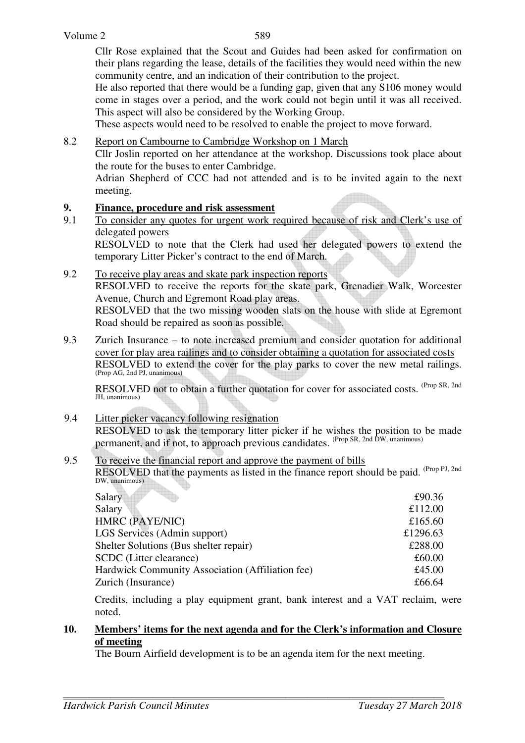Cllr Rose explained that the Scout and Guides had been asked for confirmation on their plans regarding the lease, details of the facilities they would need within the new community centre, and an indication of their contribution to the project.

He also reported that there would be a funding gap, given that any S106 money would come in stages over a period, and the work could not begin until it was all received. This aspect will also be considered by the Working Group.

These aspects would need to be resolved to enable the project to move forward.

8.2 Report on Cambourne to Cambridge Workshop on 1 March

 Cllr Joslin reported on her attendance at the workshop. Discussions took place about the route for the buses to enter Cambridge.

 Adrian Shepherd of CCC had not attended and is to be invited again to the next meeting.

# **9.** Finance, procedure and risk assessment<br>9.1 To consider any quotes for urgent work re

9.1 To consider any quotes for urgent work required because of risk and Clerk's use of delegated powers

 RESOLVED to note that the Clerk had used her delegated powers to extend the temporary Litter Picker's contract to the end of March.

- 9.2 To receive play areas and skate park inspection reports RESOLVED to receive the reports for the skate park, Grenadier Walk, Worcester Avenue, Church and Egremont Road play areas. RESOLVED that the two missing wooden slats on the house with slide at Egremont Road should be repaired as soon as possible.
- 9.3 Zurich Insurance to note increased premium and consider quotation for additional cover for play area railings and to consider obtaining a quotation for associated costs RESOLVED to extend the cover for the play parks to cover the new metal railings. (Prop AG, 2nd PJ, unanimous)

RESOLVED not to obtain a further quotation for cover for associated costs. <sup>(Prop SR, 2nd</sup>) JH, unanimous)

### 9.4 Litter picker vacancy following resignation RESOLVED to ask the temporary litter picker if he wishes the position to be made permanent, and if not, to approach previous candidates. <sup>(Prop SR, 2nd DW, unanimous)</sup>

#### 9.5 To receive the financial report and approve the payment of bills RESOLVED that the payments as listed in the finance report should be paid. <sup>(Prop PJ, 2nd</sup>) DW, unanimous)

| Salary                                           | £90.36   |
|--------------------------------------------------|----------|
| Salary                                           | £112.00  |
| HMRC (PAYE/NIC)                                  | £165.60  |
| LGS Services (Admin support)                     | £1296.63 |
| Shelter Solutions (Bus shelter repair)           | £288.00  |
| <b>SCDC</b> (Litter clearance)                   | £60.00   |
| Hardwick Community Association (Affiliation fee) | £45.00   |
| Zurich (Insurance)                               | £66.64   |
|                                                  |          |

Credits, including a play equipment grant, bank interest and a VAT reclaim, were noted.

### **10. Members' items for the next agenda and for the Clerk's information and Closure of meeting**

The Bourn Airfield development is to be an agenda item for the next meeting.